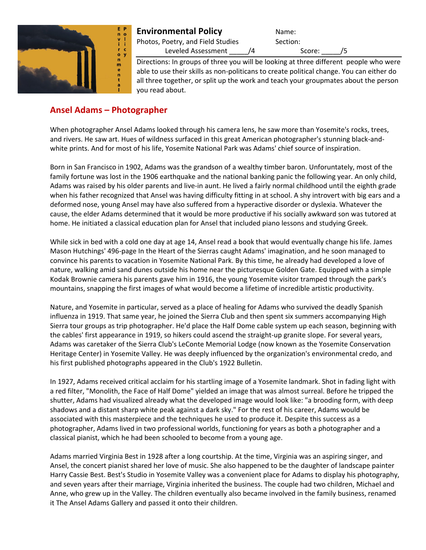

# **Environmental Policy** Name:

Photos, Poetry, and Field Studies Section:

Leveled Assessment  $\sqrt{4}$  Score:  $\sqrt{5}$ 

Directions: In groups of three you will be looking at three different people who were able to use their skills as non-politicans to create political change. You can either do all three together, or split up the work and teach your groupmates about the person you read about.

# **Ansel Adams – Photographer**

When photographer Ansel Adams looked through his camera lens, he saw more than Yosemite's rocks, trees, and rivers. He saw art. Hues of wildness surfaced in this great American photographer's stunning black-andwhite prints. And for most of his life, Yosemite National Park was Adams' chief source of inspiration.

Born in San Francisco in 1902, Adams was the grandson of a wealthy timber baron. Unforuntately, most of the family fortune was lost in the 1906 earthquake and the national banking panic the following year. An only child, Adams was raised by his older parents and live-in aunt. He lived a fairly normal childhood until the eighth grade when his father recognized that Ansel was having difficulty fitting in at school. A shy introvert with big ears and a deformed nose, young Ansel may have also suffered from a hyperactive disorder or dyslexia. Whatever the cause, the elder Adams determined that it would be more productive if his socially awkward son was tutored at home. He initiated a classical education plan for Ansel that included piano lessons and studying Greek.

While sick in bed with a cold one day at age 14, Ansel read a book that would eventually change his life. James Mason Hutchings' 496-page In the Heart of the Sierras caught Adams' imagination, and he soon managed to convince his parents to vacation in Yosemite National Park. By this time, he already had developed a love of nature, walking amid sand dunes outside his home near the picturesque Golden Gate. Equipped with a simple Kodak Brownie camera his parents gave him in 1916, the young Yosemite visitor tramped through the park's mountains, snapping the first images of what would become a lifetime of incredible artistic productivity.

Nature, and Yosemite in particular, served as a place of healing for Adams who survived the deadly Spanish influenza in 1919. That same year, he joined the Sierra Club and then spent six summers accompanying High Sierra tour groups as trip photographer. He'd place the Half Dome cable system up each season, beginning with the cables' first appearance in 1919, so hikers could ascend the straight-up granite slope. For several years, Adams was caretaker of the Sierra Club's LeConte Memorial Lodge (now known as the Yosemite Conservation Heritage Center) in Yosemite Valley. He was deeply influenced by the organization's environmental credo, and his first published photographs appeared in the Club's 1922 Bulletin.

In 1927, Adams received critical acclaim for his startling image of a Yosemite landmark. Shot in fading light with a red filter, "Monolith, the Face of Half Dome" yielded an image that was almost surreal. Before he tripped the shutter, Adams had visualized already what the developed image would look like: "a brooding form, with deep shadows and a distant sharp white peak against a dark sky." For the rest of his career, Adams would be associated with this masterpiece and the techniques he used to produce it. Despite this success as a photographer, Adams lived in two professional worlds, functioning for years as both a photographer and a classical pianist, which he had been schooled to become from a young age.

Adams married Virginia Best in 1928 after a long courtship. At the time, Virginia was an aspiring singer, and Ansel, the concert pianist shared her love of music. She also happened to be the daughter of landscape painter Harry Cassie Best. Best's Studio in Yosemite Valley was a convenient place for Adams to display his photography, and seven years after their marriage, Virginia inherited the business. The couple had two children, Michael and Anne, who grew up in the Valley. The children eventually also became involved in the family business, renamed it The Ansel Adams Gallery and passed it onto their children.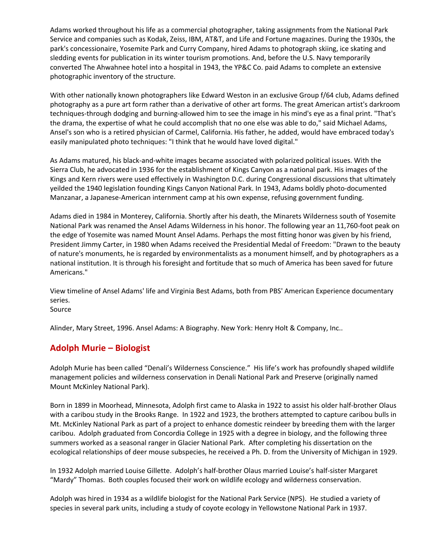Adams worked throughout his life as a commercial photographer, taking assignments from the National Park Service and companies such as Kodak, Zeiss, IBM, AT&T, and Life and Fortune magazines. During the 1930s, the park's concessionaire, Yosemite Park and Curry Company, hired Adams to photograph skiing, ice skating and sledding events for publication in its winter tourism promotions. And, before the U.S. Navy temporarily converted The Ahwahnee hotel into a hospital in 1943, the YP&C Co. paid Adams to complete an extensive photographic inventory of the structure.

With other nationally known photographers like Edward Weston in an exclusive Group f/64 club, Adams defined photography as a pure art form rather than a derivative of other art forms. The great American artist's darkroom techniques-through dodging and burning-allowed him to see the image in his mind's eye as a final print. "That's the drama, the expertise of what he could accomplish that no one else was able to do," said Michael Adams, Ansel's son who is a retired physician of Carmel, California. His father, he added, would have embraced today's easily manipulated photo techniques: "I think that he would have loved digital."

As Adams matured, his black-and-white images became associated with polarized political issues. With the Sierra Club, he advocated in 1936 for the establishment of Kings Canyon as a national park. His images of the Kings and Kern rivers were used effectively in Washington D.C. during Congressional discussions that ultimately yeilded the 1940 legislation founding Kings Canyon National Park. In 1943, Adams boldly photo-documented Manzanar, a Japanese-American internment camp at his own expense, refusing government funding.

Adams died in 1984 in Monterey, California. Shortly after his death, the Minarets Wilderness south of Yosemite National Park was renamed the Ansel Adams Wilderness in his honor. The following year an 11,760-foot peak on the edge of Yosemite was named Mount Ansel Adams. Perhaps the most fitting honor was given by his friend, President Jimmy Carter, in 1980 when Adams received the Presidential Medal of Freedom: "Drawn to the beauty of nature's monuments, he is regarded by environmentalists as a monument himself, and by photographers as a national institution. It is through his foresight and fortitude that so much of America has been saved for future Americans."

View timeline of Ansel Adams' life and Virginia Best Adams, both from PBS' American Experience documentary series.

Source

Alinder, Mary Street, 1996. Ansel Adams: A Biography. New York: Henry Holt & Company, Inc..

# **Adolph Murie – Biologist**

Adolph Murie has been called "Denali's Wilderness Conscience." His life's work has profoundly shaped wildlife management policies and wilderness conservation in Denali National Park and Preserve (originally named Mount McKinley National Park).

Born in 1899 in Moorhead, Minnesota, Adolph first came to Alaska in 1922 to assist his older half-brother Olaus with a caribou study in the Brooks Range. In 1922 and 1923, the brothers attempted to capture caribou bulls in Mt. McKinley National Park as part of a project to enhance domestic reindeer by breeding them with the larger caribou. Adolph graduated from Concordia College in 1925 with a degree in biology, and the following three summers worked as a seasonal ranger in Glacier National Park. After completing his dissertation on the ecological relationships of deer mouse subspecies, he received a Ph. D. from the University of Michigan in 1929.

In 1932 Adolph married Louise Gillette. Adolph's half-brother Olaus married Louise's half-sister Margaret "Mardy" Thomas. Both couples focused their work on wildlife ecology and wilderness conservation.

Adolph was hired in 1934 as a wildlife biologist for the National Park Service (NPS). He studied a variety of species in several park units, including a study of coyote ecology in Yellowstone National Park in 1937.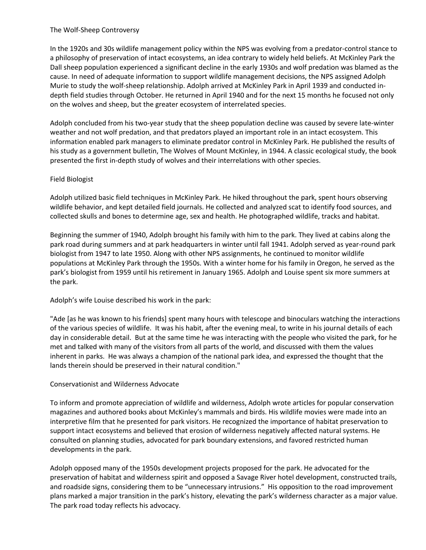#### The Wolf-Sheep Controversy

In the 1920s and 30s wildlife management policy within the NPS was evolving from a predator-control stance to a philosophy of preservation of intact ecosystems, an idea contrary to widely held beliefs. At McKinley Park the Dall sheep population experienced a significant decline in the early 1930s and wolf predation was blamed as the cause. In need of adequate information to support wildlife management decisions, the NPS assigned Adolph Murie to study the wolf-sheep relationship. Adolph arrived at McKinley Park in April 1939 and conducted indepth field studies through October. He returned in April 1940 and for the next 15 months he focused not only on the wolves and sheep, but the greater ecosystem of interrelated species.

Adolph concluded from his two-year study that the sheep population decline was caused by severe late-winter weather and not wolf predation, and that predators played an important role in an intact ecosystem. This information enabled park managers to eliminate predator control in McKinley Park. He published the results of his study as a government bulletin, The Wolves of Mount McKinley, in 1944. A classic ecological study, the book presented the first in-depth study of wolves and their interrelations with other species.

### Field Biologist

Adolph utilized basic field techniques in McKinley Park. He hiked throughout the park, spent hours observing wildlife behavior, and kept detailed field journals. He collected and analyzed scat to identify food sources, and collected skulls and bones to determine age, sex and health. He photographed wildlife, tracks and habitat.

Beginning the summer of 1940, Adolph brought his family with him to the park. They lived at cabins along the park road during summers and at park headquarters in winter until fall 1941. Adolph served as year-round park biologist from 1947 to late 1950. Along with other NPS assignments, he continued to monitor wildlife populations at McKinley Park through the 1950s. With a winter home for his family in Oregon, he served as the park's biologist from 1959 until his retirement in January 1965. Adolph and Louise spent six more summers at the park.

### Adolph's wife Louise described his work in the park:

"Ade [as he was known to his friends] spent many hours with telescope and binoculars watching the interactions of the various species of wildlife. It was his habit, after the evening meal, to write in his journal details of each day in considerable detail. But at the same time he was interacting with the people who visited the park, for he met and talked with many of the visitors from all parts of the world, and discussed with them the values inherent in parks. He was always a champion of the national park idea, and expressed the thought that the lands therein should be preserved in their natural condition."

#### Conservationist and Wilderness Advocate

To inform and promote appreciation of wildlife and wilderness, Adolph wrote articles for popular conservation magazines and authored books about McKinley's mammals and birds. His wildlife movies were made into an interpretive film that he presented for park visitors. He recognized the importance of habitat preservation to support intact ecosystems and believed that erosion of wilderness negatively affected natural systems. He consulted on planning studies, advocated for park boundary extensions, and favored restricted human developments in the park.

Adolph opposed many of the 1950s development projects proposed for the park. He advocated for the preservation of habitat and wilderness spirit and opposed a Savage River hotel development, constructed trails, and roadside signs, considering them to be "unnecessary intrusions." His opposition to the road improvement plans marked a major transition in the park's history, elevating the park's wilderness character as a major value. The park road today reflects his advocacy.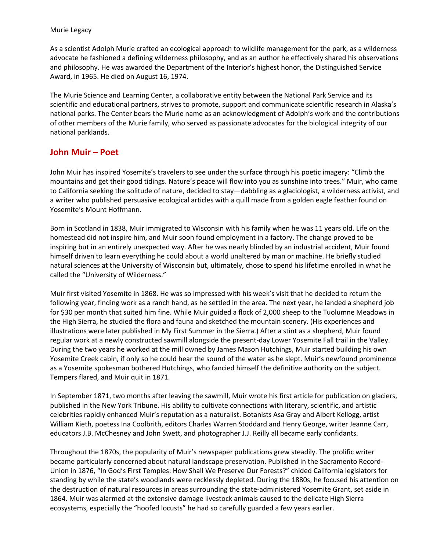#### Murie Legacy

As a scientist Adolph Murie crafted an ecological approach to wildlife management for the park, as a wilderness advocate he fashioned a defining wilderness philosophy, and as an author he effectively shared his observations and philosophy. He was awarded the Department of the Interior's highest honor, the Distinguished Service Award, in 1965. He died on August 16, 1974.

The Murie Science and Learning Center, a collaborative entity between the National Park Service and its scientific and educational partners, strives to promote, support and communicate scientific research in Alaska's national parks. The Center bears the Murie name as an acknowledgment of Adolph's work and the contributions of other members of the Murie family, who served as passionate advocates for the biological integrity of our national parklands.

## **John Muir – Poet**

John Muir has inspired Yosemite's travelers to see under the surface through his poetic imagery: "Climb the mountains and get their good tidings. Nature's peace will flow into you as sunshine into trees." Muir, who came to California seeking the solitude of nature, decided to stay—dabbling as a glaciologist, a wilderness activist, and a writer who published persuasive ecological articles with a quill made from a golden eagle feather found on Yosemite's Mount Hoffmann.

Born in Scotland in 1838, Muir immigrated to Wisconsin with his family when he was 11 years old. Life on the homestead did not inspire him, and Muir soon found employment in a factory. The change proved to be inspiring but in an entirely unexpected way. After he was nearly blinded by an industrial accident, Muir found himself driven to learn everything he could about a world unaltered by man or machine. He briefly studied natural sciences at the University of Wisconsin but, ultimately, chose to spend his lifetime enrolled in what he called the "University of Wilderness."

Muir first visited Yosemite in 1868. He was so impressed with his week's visit that he decided to return the following year, finding work as a ranch hand, as he settled in the area. The next year, he landed a shepherd job for \$30 per month that suited him fine. While Muir guided a flock of 2,000 sheep to the Tuolumne Meadows in the High Sierra, he studied the flora and fauna and sketched the mountain scenery. (His experiences and illustrations were later published in My First Summer in the Sierra.) After a stint as a shepherd, Muir found regular work at a newly constructed sawmill alongside the present-day Lower Yosemite Fall trail in the Valley. During the two years he worked at the mill owned by James Mason Hutchings, Muir started building his own Yosemite Creek cabin, if only so he could hear the sound of the water as he slept. Muir's newfound prominence as a Yosemite spokesman bothered Hutchings, who fancied himself the definitive authority on the subject. Tempers flared, and Muir quit in 1871.

In September 1871, two months after leaving the sawmill, Muir wrote his first article for publication on glaciers, published in the New York Tribune. His ability to cultivate connections with literary, scientific, and artistic celebrities rapidly enhanced Muir's reputation as a naturalist. Botanists Asa Gray and Albert Kellogg, artist William Kieth, poetess Ina Coolbrith, editors Charles Warren Stoddard and Henry George, writer Jeanne Carr, educators J.B. McChesney and John Swett, and photographer J.J. Reilly all became early confidants.

Throughout the 1870s, the popularity of Muir's newspaper publications grew steadily. The prolific writer became particularly concerned about natural landscape preservation. Published in the Sacramento Record-Union in 1876, "In God's First Temples: How Shall We Preserve Our Forests?" chided California legislators for standing by while the state's woodlands were recklessly depleted. During the 1880s, he focused his attention on the destruction of natural resources in areas surrounding the state-administered Yosemite Grant, set aside in 1864. Muir was alarmed at the extensive damage livestock animals caused to the delicate High Sierra ecosystems, especially the "hoofed locusts" he had so carefully guarded a few years earlier.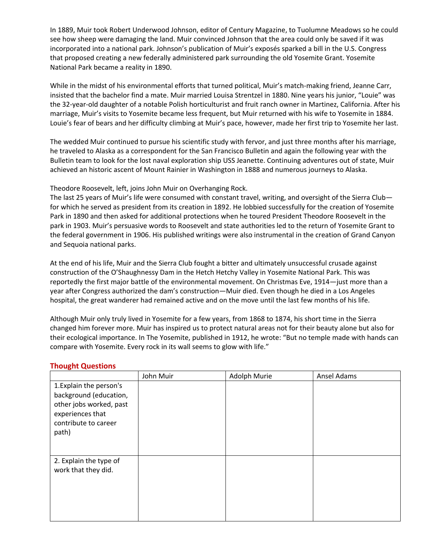In 1889, Muir took Robert Underwood Johnson, editor of Century Magazine, to Tuolumne Meadows so he could see how sheep were damaging the land. Muir convinced Johnson that the area could only be saved if it was incorporated into a national park. Johnson's publication of Muir's exposés sparked a bill in the U.S. Congress that proposed creating a new federally administered park surrounding the old Yosemite Grant. Yosemite National Park became a reality in 1890.

While in the midst of his environmental efforts that turned political, Muir's match-making friend, Jeanne Carr, insisted that the bachelor find a mate. Muir married Louisa Strentzel in 1880. Nine years his junior, "Louie" was the 32-year-old daughter of a notable Polish horticulturist and fruit ranch owner in Martinez, California. After his marriage, Muir's visits to Yosemite became less frequent, but Muir returned with his wife to Yosemite in 1884. Louie's fear of bears and her difficulty climbing at Muir's pace, however, made her first trip to Yosemite her last.

The wedded Muir continued to pursue his scientific study with fervor, and just three months after his marriage, he traveled to Alaska as a correspondent for the San Francisco Bulletin and again the following year with the Bulletin team to look for the lost naval exploration ship USS Jeanette. Continuing adventures out of state, Muir achieved an historic ascent of Mount Rainier in Washington in 1888 and numerous journeys to Alaska.

### Theodore Roosevelt, left, joins John Muir on Overhanging Rock.

The last 25 years of Muir's life were consumed with constant travel, writing, and oversight of the Sierra Club for which he served as president from its creation in 1892. He lobbied successfully for the creation of Yosemite Park in 1890 and then asked for additional protections when he toured President Theodore Roosevelt in the park in 1903. Muir's persuasive words to Roosevelt and state authorities led to the return of Yosemite Grant to the federal government in 1906. His published writings were also instrumental in the creation of Grand Canyon and Sequoia national parks.

At the end of his life, Muir and the Sierra Club fought a bitter and ultimately unsuccessful crusade against construction of the O'Shaughnessy Dam in the Hetch Hetchy Valley in Yosemite National Park. This was reportedly the first major battle of the environmental movement. On Christmas Eve, 1914—just more than a year after Congress authorized the dam's construction—Muir died. Even though he died in a Los Angeles hospital, the great wanderer had remained active and on the move until the last few months of his life.

Although Muir only truly lived in Yosemite for a few years, from 1868 to 1874, his short time in the Sierra changed him forever more. Muir has inspired us to protect natural areas not for their beauty alone but also for their ecological importance. In The Yosemite, published in 1912, he wrote: "But no temple made with hands can compare with Yosemite. Every rock in its wall seems to glow with life."

#### **Thought Questions**

|                                                                                                                                   | John Muir | Adolph Murie | Ansel Adams |
|-----------------------------------------------------------------------------------------------------------------------------------|-----------|--------------|-------------|
| 1. Explain the person's<br>background (education,<br>other jobs worked, past<br>experiences that<br>contribute to career<br>path) |           |              |             |
| 2. Explain the type of<br>work that they did.                                                                                     |           |              |             |